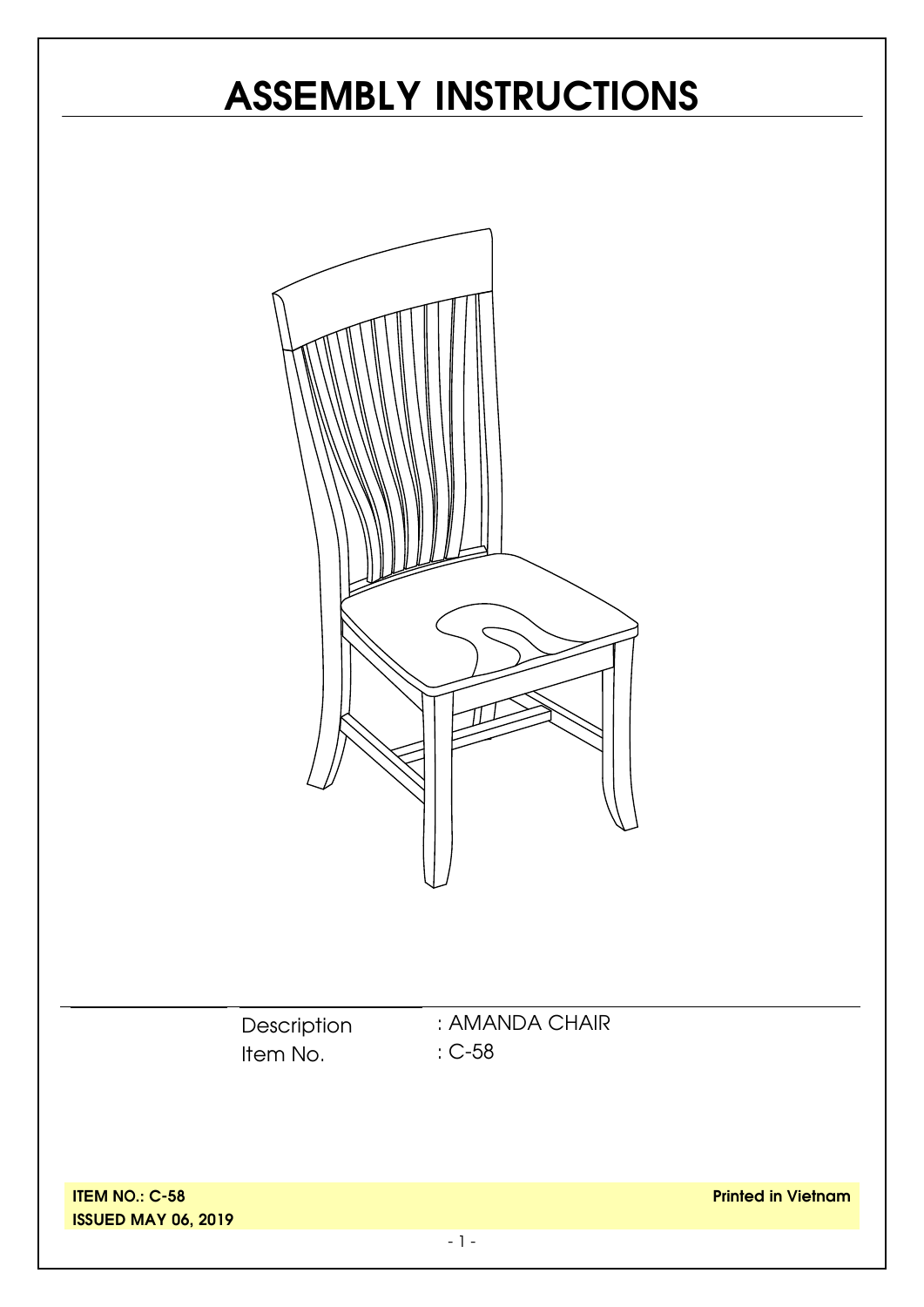# **ASSEMBLY INSTRUCTIONS**



**ISSUED MAY 06, 2019**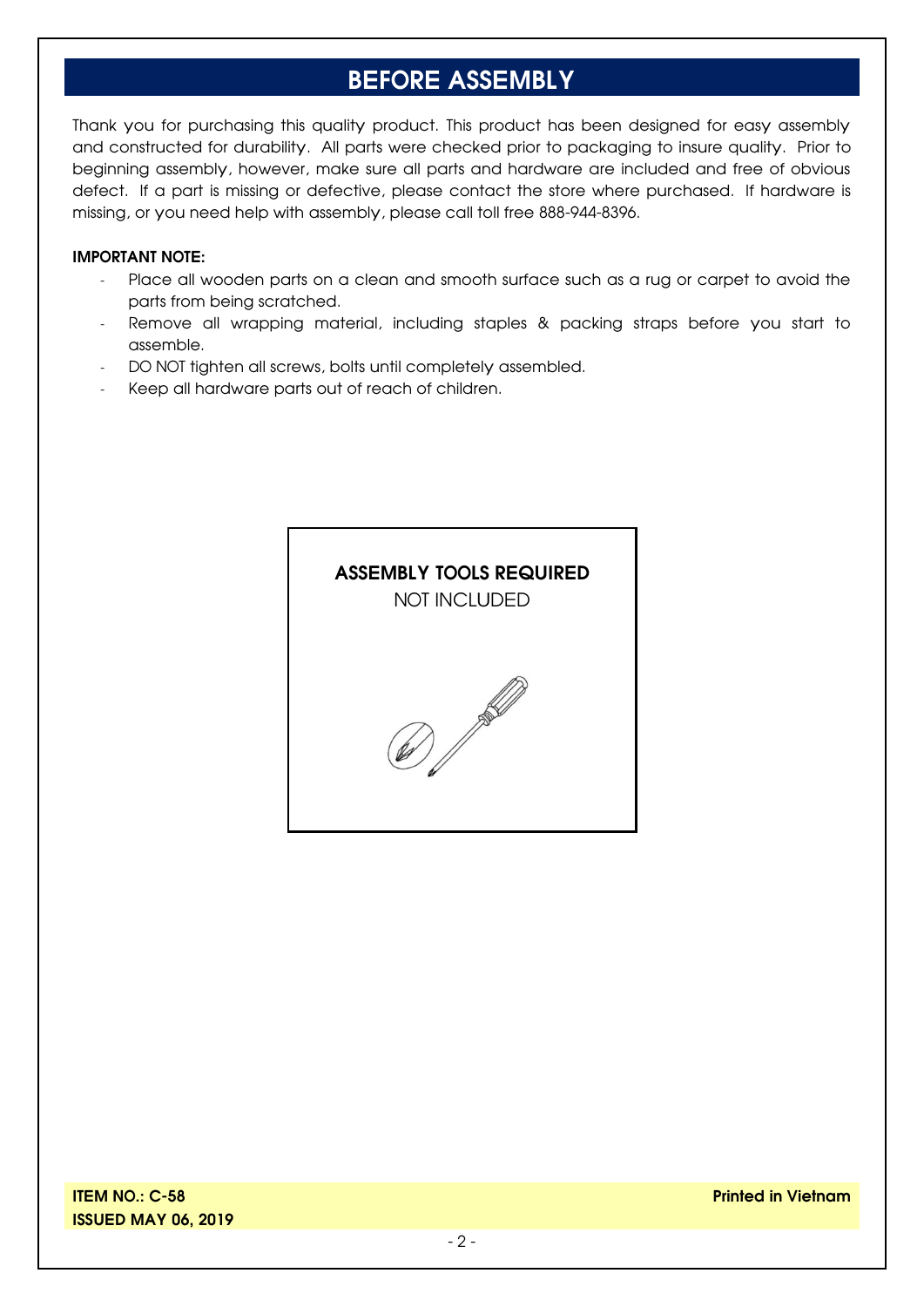#### **BEFORE ASSEMBLY**

Thank you for purchasing this quality product. This product has been designed for easy assembly and constructed for durability. All parts were checked prior to packaging to insure quality. Prior to beginning assembly, however, make sure all parts and hardware are included and free of obvious defect. If a part is missing or defective, please contact the store where purchased. If hardware is missing, or you need help with assembly, please call toll free 888-944-8396.

#### **IMPORTANT NOTE:**

- Place all wooden parts on a clean and smooth surface such as a rug or carpet to avoid the parts from being scratched.
- Remove all wrapping material, including staples & packing straps before you start to assemble.
- DO NOT tighten all screws, bolts until completely assembled.
- Keep all hardware parts out of reach of children.

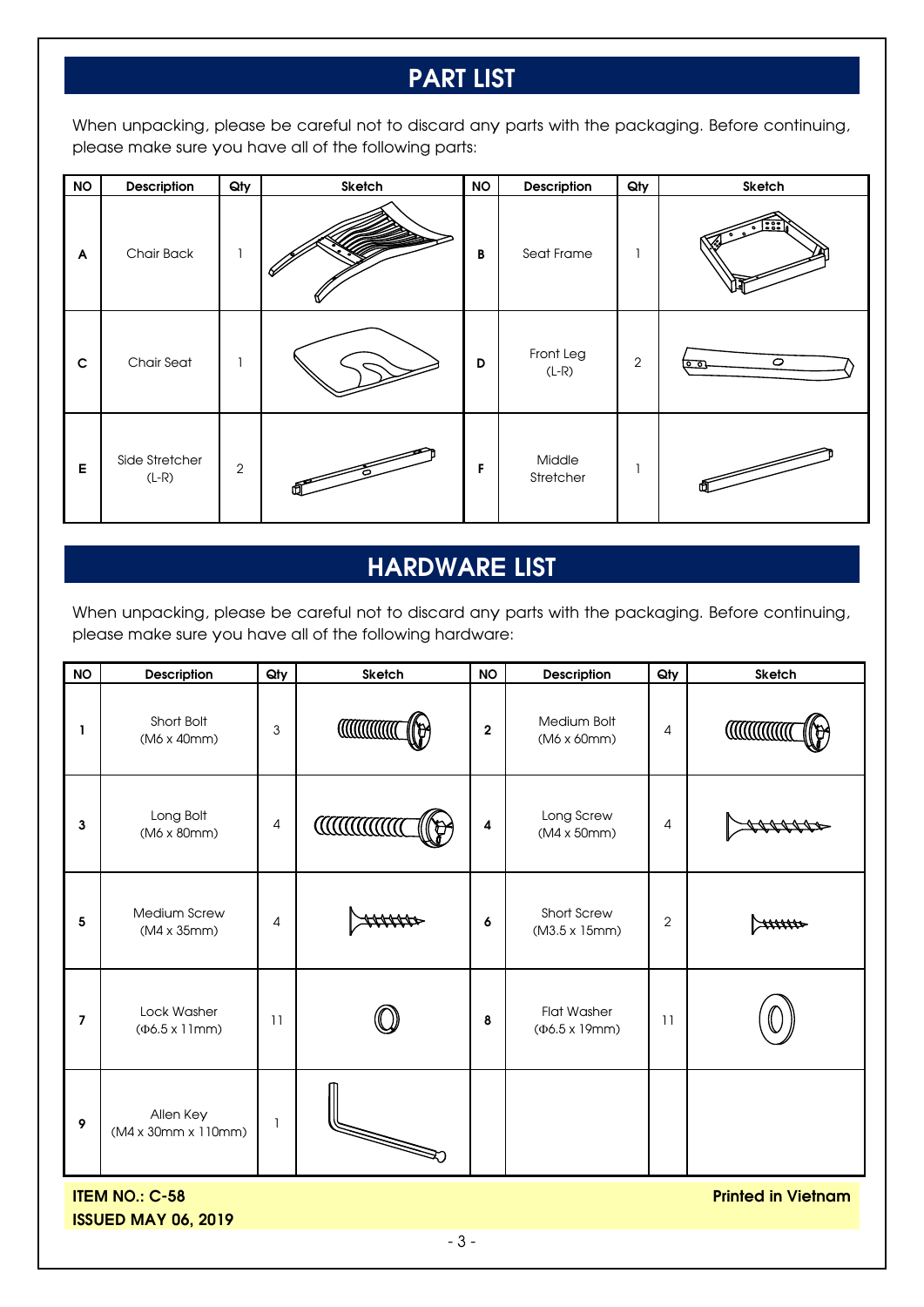### **PART LIST**

When unpacking, please be careful not to discard any parts with the packaging. Before continuing, please make sure you have all of the following parts:

| <b>NO</b>   | Description               | Qty            | Sketch | <b>NO</b> | Description          | Qty            | Sketch                     |
|-------------|---------------------------|----------------|--------|-----------|----------------------|----------------|----------------------------|
| A           | Chair Back                |                |        | B         | Seat Frame           |                | िः                         |
| $\mathbf c$ | <b>Chair Seat</b>         |                |        | D         | Front Leg<br>$(L-R)$ | $\overline{2}$ | $\circ$<br>$\circ$ $\circ$ |
| E           | Side Stretcher<br>$(L-R)$ | $\overline{2}$ |        | F         | Middle<br>Stretcher  |                |                            |

#### **HARDWARE LIST**

When unpacking, please be careful not to discard any parts with the packaging. Before continuing, please make sure you have all of the following hardware:

| <b>NO</b>                                          | <b>Description</b>                    | Qty            | Sketch           | <b>NO</b>               | Description                          | Qty            | Sketch          |  |
|----------------------------------------------------|---------------------------------------|----------------|------------------|-------------------------|--------------------------------------|----------------|-----------------|--|
| ı                                                  | Short Bolt<br>$(M6 \times 40$ mm $)$  | 3              | <b>CONTINUES</b> | $\overline{2}$          | Medium Bolt<br>(M6 x 60mm)           | 4              | <b>CONTINUE</b> |  |
| 3                                                  | Long Bolt<br>(M6 x 80mm)              | $\overline{4}$ | <b>CONTINUES</b> | $\overline{\mathbf{4}}$ | Long Screw<br>$(M4 \times 50$ mm $)$ | 4              |                 |  |
| 5                                                  | Medium Screw<br>(M4 x 35mm)           | $\overline{4}$ |                  | 6                       | Short Screw<br>(M3.5 x 15mm)         | $\overline{c}$ |                 |  |
| $\overline{7}$                                     | Lock Washer<br>$(46.5 \times 11)$ mm) | 11             |                  | 8                       | Flat Washer<br>$(46.5 \times 19$ mm) | 11             |                 |  |
| 9                                                  | Allen Key<br>(M4 x 30mm x 110mm)      | 1              | S                |                         |                                      |                |                 |  |
| <b>ITEM NO.: C-58</b><br><b>Printed in Vietnam</b> |                                       |                |                  |                         |                                      |                |                 |  |

**ISSUED MAY 06, 2019**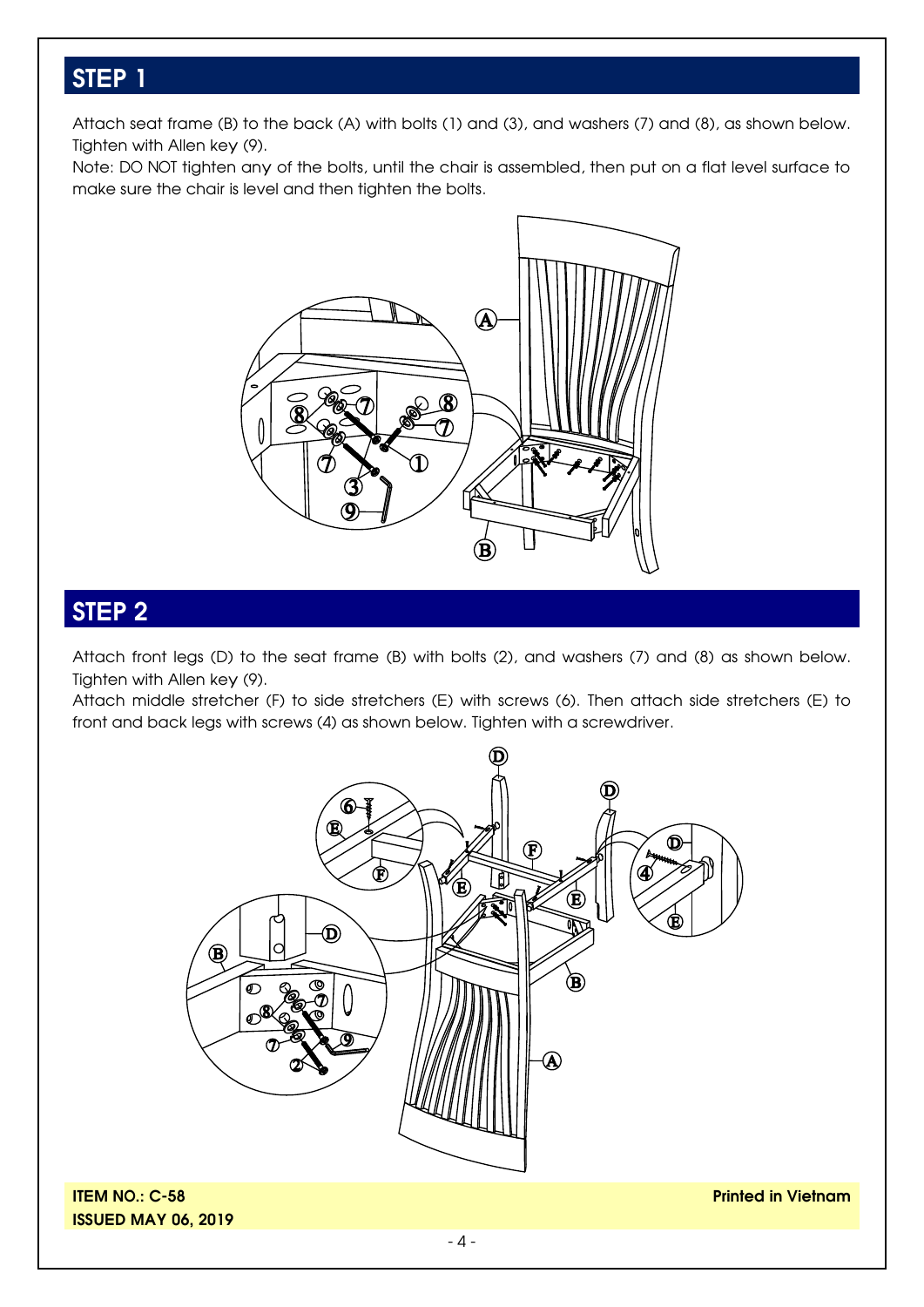#### **STEP 1**

Attach seat frame (B) to the back (A) with bolts (1) and (3), and washers (7) and (8), as shown below. Tighten with Allen key (9).

Note: DO NOT tighten any of the bolts, until the chair is assembled, then put on a flat level surface to make sure the chair is level and then tighten the bolts.



### **STEP 2**

Attach front legs (D) to the seat frame (B) with bolts (2), and washers (7) and (8) as shown below. Tighten with Allen key (9).

Attach middle stretcher (F) to side stretchers (E) with screws (6). Then attach side stretchers (E) to front and back legs with screws (4) as shown below. Tighten with a screwdriver.



**ITEM NO.: C-58 ISSUED MAY 06, 2019**